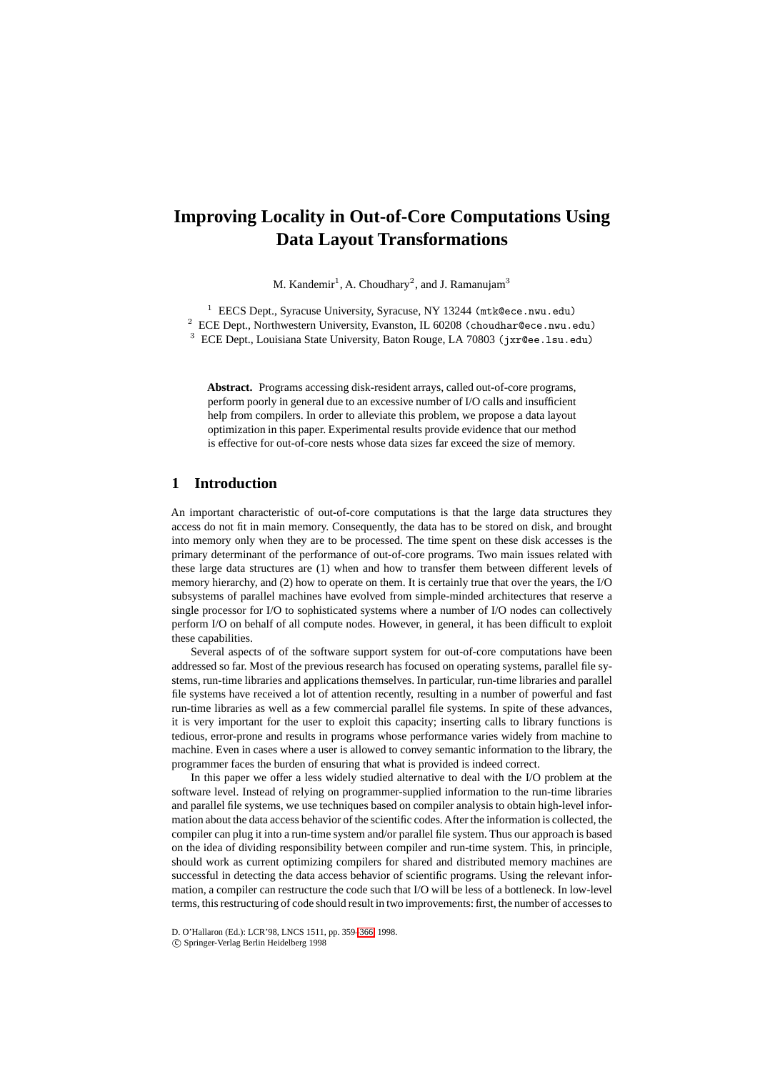# **Improving Locality in Out-of-Core Computations Using Data Layout Transformations**

M. Kandemir<sup>1</sup>, A. Choudhary<sup>2</sup>, and J. Ramanujam<sup>3</sup>

<sup>1</sup> EECS Dept., Syracuse University, Syracuse, NY 13244 (mtk@ece.nwu.edu)<br><sup>2</sup> ECE Dept., Northwestern University, Evanston, IL 60208 (choudhar@ece.nwu.edu)<br><sup>3</sup> ECE Dept., Louisiana State University, Baton Rouge, LA 70803

**Abstract.** Programs accessing disk-resident arrays, called out-of-core programs, perform poorly in general due to an excessive number of I/O calls and insufficient help from compilers. In order to alleviate this problem, we propose a data layout optimization in this paper. Experimental results provide evidence that our method is effective for out-of-core nests whose data sizes far exceed the size of memory.

### **1 Introduction**

An important characteristic of out-of-core computations is that the large data structures they access do not fit in main memory. Consequently, the data has to be stored on disk, and brought into memory only when they are to be processed. The time spent on these disk accesses is the primary determinant of the performance of out-of-core programs. Two main issues related with these large data structures are (1) when and how to transfer them between different levels of memory hierarchy, and (2) how to operate on them. It is certainly true that over the years, the I/O subsystems of parallel machines have evolved from simple-minded architectures that reserve a single processor for I/O to sophisticated systems where a number of I/O nodes can collectively perform I/O on behalf of all compute nodes. However, in general, it has been difficult to exploit these capabilities.

Several aspects of of the software support system for out-of-core computations have been addressed so far. Most of the previous research has focused on operating systems, parallel file systems, run-time libraries and applications themselves. In particular, run-time libraries and parallel file systems have received a lot of attention recently, resulting in a number of powerful and fast run-time libraries as well as a few commercial parallel file systems. In spite of these advances, it is very important for the user to exploit this capacity; inserting calls to library functions is tedious, error-prone and results in programs whose performance varies widely from machine to machine. Even in cases where a user is allowed to convey semantic information to the library, the programmer faces the burden of ensuring that what is provided is indeed correct.

In this paper we offer a less widely studied alternative to deal with the I/O problem at the software level. Instead of relying on programmer-supplied information to the run-time libraries and parallel file systems, we use techniques based on compiler analysis to obtain high-level information about the data access behavior of the scientific codes. After the information is collected, the compiler can plug it into a run-time system and/or parallel file system. Thus our approach is based on the idea of dividing responsibility between compiler and run-time system. This, in principle, should work as current optimizing compilers for shared and distributed memory machines are successful in detecting the data access behavior of scientific programs. Using the relevant information, a compiler can restructure the code such that I/O will be less of a bottleneck. In low-level terms, this restructuring of code should result in two improvements: first, the number of accesses to

D. O'Hallaron (Ed.): LCR'98, LNCS 1511, pp. 359[–366,](#page-7-0) 1998.

c Springer-Verlag Berlin Heidelberg 1998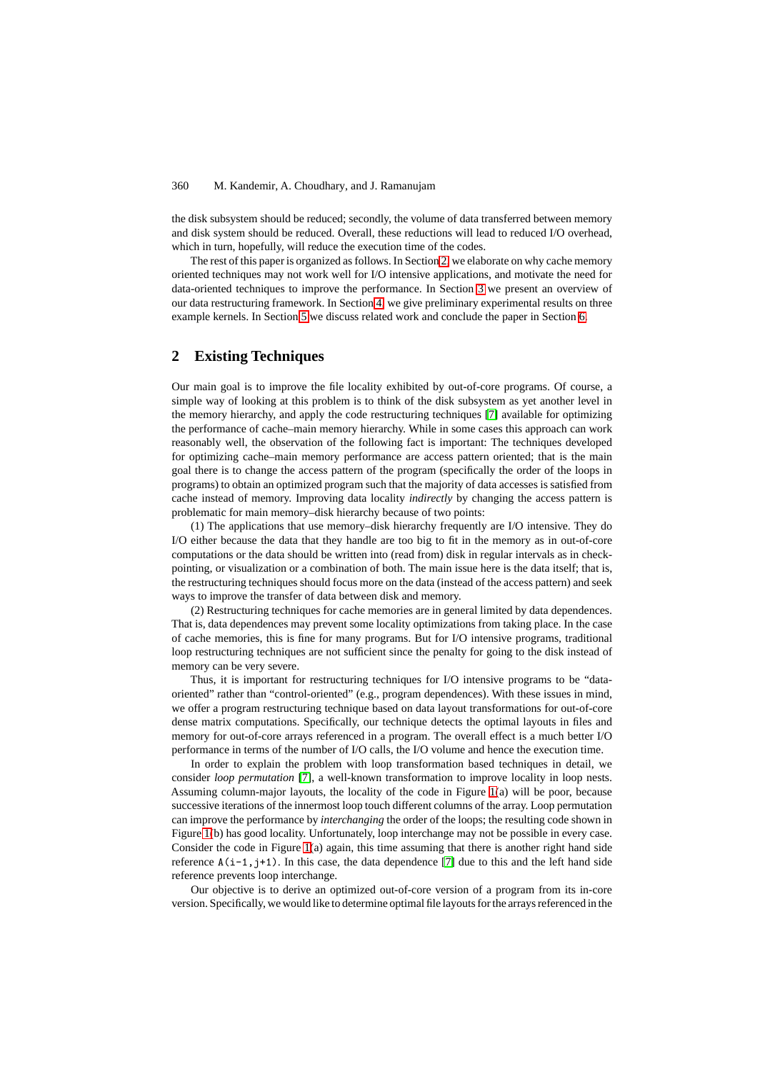the disk subsystem should be reduced; secondly, the volume of data transferred between memory and disk system should be reduced. Overall, these reductions will lead to reduced I/O overhead, which in turn, hopefully, will reduce the execution time of the codes.

The rest of this paper is organized as follows. In Section 2, we elaborate on why cache memory oriented techniques may not work well for I/O intensive applications, and motivate the need for data-oriented techniques to improve the performance. In Section [3](#page-3-0) we present an overview of our data restructuring framework. In Section [4,](#page-5-0) we give preliminary experimental results on three example kernels. In Section [5](#page-5-0) we discuss related work and conclude the paper in Section [6.](#page-7-0)

### **2 Existing Techniques**

Our main goal is to improve the file locality exhibited by out-of-core programs. Of course, a simple way of looking at this problem is to think of the disk subsystem as yet another level in the memory hierarchy, and apply the code restructuring techniques [\[7\]](#page-7-0) available for optimizing the performance of cache–main memory hierarchy. While in some cases this approach can work reasonably well, the observation of the following fact is important: The techniques developed for optimizing cache–main memory performance are access pattern oriented; that is the main goal there is to change the access pattern of the program (specifically the order of the loops in programs) to obtain an optimized program such that the majority of data accesses is satisfied from cache instead of memory. Improving data locality *indirectly* by changing the access pattern is problematic for main memory–disk hierarchy because of two points:

(1) The applications that use memory–disk hierarchy frequently are I/O intensive. They do I/O either because the data that they handle are too big to fit in the memory as in out-of-core computations or the data should be written into (read from) disk in regular intervals as in checkpointing, or visualization or a combination of both. The main issue here is the data itself; that is, the restructuring techniques should focus more on the data (instead of the access pattern) and seek ways to improve the transfer of data between disk and memory.

(2) Restructuring techniques for cache memories are in general limited by data dependences. That is, data dependences may prevent some locality optimizations from taking place. In the case of cache memories, this is fine for many programs. But for I/O intensive programs, traditional loop restructuring techniques are not sufficient since the penalty for going to the disk instead of memory can be very severe.

Thus, it is important for restructuring techniques for I/O intensive programs to be "dataoriented" rather than "control-oriented" (e.g., program dependences). With these issues in mind, we offer a program restructuring technique based on data layout transformations for out-of-core dense matrix computations. Specifically, our technique detects the optimal layouts in files and memory for out-of-core arrays referenced in a program. The overall effect is a much better I/O performance in terms of the number of I/O calls, the I/O volume and hence the execution time.

In order to explain the problem with loop transformation based techniques in detail, we consider *loop permutation* [\[7\]](#page-7-0), a well-known transformation to improve locality in loop nests. Assuming column-major layouts, the locality of the code in Figure [1\(](#page-3-0)a) will be poor, because successive iterations of the innermost loop touch different columns of the array. Loop permutation can improve the performance by *interchanging* the order of the loops; the resulting code shown in Figure [1\(](#page-3-0)b) has good locality. Unfortunately, loop interchange may not be possible in every case. Consider the code in Figure [1\(](#page-3-0)a) again, this time assuming that there is another right hand side reference  $A(i-1,j+1)$ . In this case, the data dependence [\[7\]](#page-7-0) due to this and the left hand side reference prevents loop interchange.

Our objective is to derive an optimized out-of-core version of a program from its in-core version. Specifically, we would like to determine optimal file layouts for the arrays referenced in the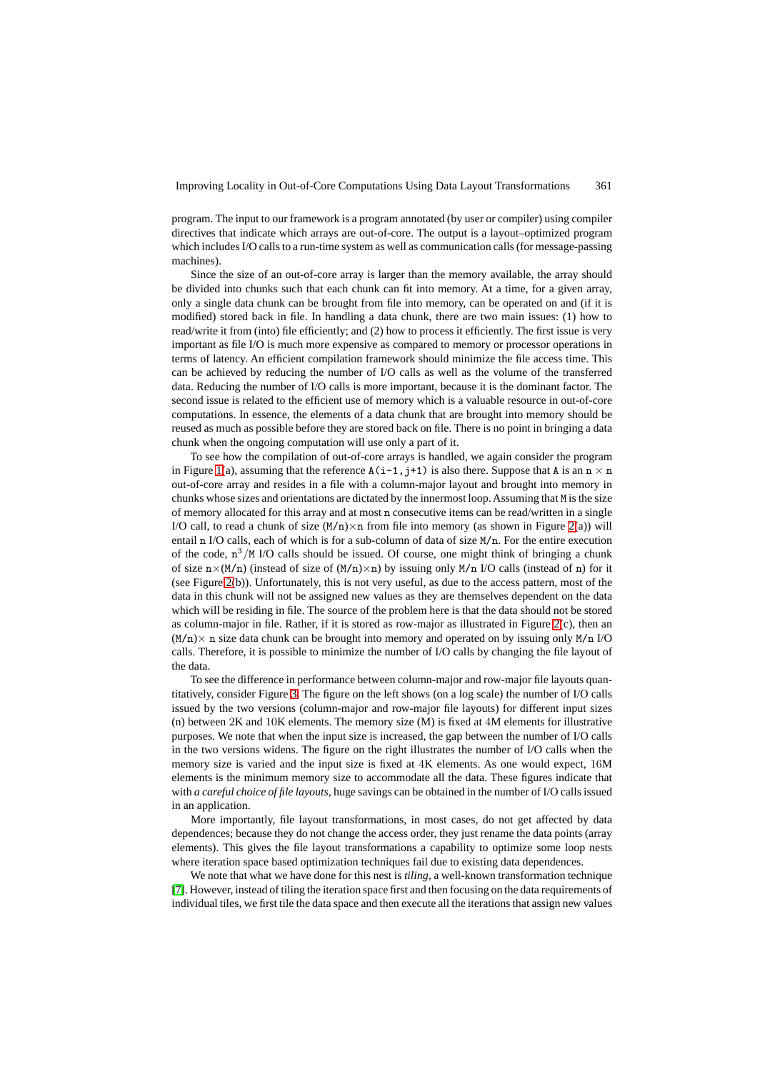program. The input to our framework is a program annotated (by user or compiler) using compiler directives that indicate which arrays are out-of-core. The output is a layout–optimized program which includes I/O calls to a run-time system as well as communication calls (for message-passing machines).

Since the size of an out-of-core array is larger than the memory available, the array should be divided into chunks such that each chunk can fit into memory. At a time, for a given array, only a single data chunk can be brought from file into memory, can be operated on and (if it is modified) stored back in file. In handling a data chunk, there are two main issues: (1) how to read/write it from (into) file efficiently; and (2) how to process it efficiently. The first issue is very important as file I/O is much more expensive as compared to memory or processor operations in terms of latency. An efficient compilation framework should minimize the file access time. This can be achieved by reducing the number of I/O calls as well as the volume of the transferred data. Reducing the number of I/O calls is more important, because it is the dominant factor. The second issue is related to the efficient use of memory which is a valuable resource in out-of-core computations. In essence, the elements of a data chunk that are brought into memory should be reused as much as possible before they are stored back on file. There is no point in bringing a data chunk when the ongoing computation will use only a part of it.

To see how the compilation of out-of-core arrays is handled, we again consider the program in Figure [1\(](#page-3-0)a), assuming that the reference  $A(i-1,j+1)$  is also there. Suppose that A is an  $n \times n$ out-of-core array and resides in a file with a column-major layout and brought into memory in chunks whose sizes and orientations are dictated by the innermost loop. Assuming that M is the size of memory allocated for this array and at most n consecutive items can be read/written in a single I/O call, to read a chunk of size  $(M/n)\times n$  from file into memory (as shown in Figure [2\(](#page-3-0)a)) will entail n I/O calls, each of which is for a sub-column of data of size M/n. For the entire execution of the code,  $n^3/M$  I/O calls should be issued. Of course, one might think of bringing a chunk of size  $n \times (M/n)$  (instead of size of  $(M/n) \times n$ ) by issuing only  $M/n$  I/O calls (instead of n) for it (see Figure [2\(](#page-3-0)b)). Unfortunately, this is not very useful, as due to the access pattern, most of the data in this chunk will not be assigned new values as they are themselves dependent on the data which will be residing in file. The source of the problem here is that the data should not be stored as column-major in file. Rather, if it is stored as row-major as illustrated in Figure  $2(c)$ , then an  $(M/n) \times n$  size data chunk can be brought into memory and operated on by issuing only M/n I/O calls. Therefore, it is possible to minimize the number of I/O calls by changing the file layout of the data.

To see the difference in performance between column-major and row-major file layouts quantitatively, consider Figure [3.](#page-6-0) The figure on the left shows (on a log scale) the number of I/O calls issued by the two versions (column-major and row-major file layouts) for different input sizes (n) between 2K and 10K elements. The memory size (M) is fixed at 4M elements for illustrative purposes. We note that when the input size is increased, the gap between the number of I/O calls in the two versions widens. The figure on the right illustrates the number of I/O calls when the memory size is varied and the input size is fixed at 4K elements. As one would expect, 16M elements is the minimum memory size to accommodate all the data. These figures indicate that with *a careful choice of file layouts,* huge savings can be obtained in the number of I/O calls issued in an application.

More importantly, file layout transformations, in most cases, do not get affected by data dependences; because they do not change the access order, they just rename the data points (array elements). This gives the file layout transformations a capability to optimize some loop nests where iteration space based optimization techniques fail due to existing data dependences.

We note that what we have done for this nest is *tiling*, a well-known transformation technique [\[7\]](#page-7-0). However, instead of tiling the iteration space first and then focusing on the data requirements of individual tiles, we first tile the data space and then execute all the iterations that assign new values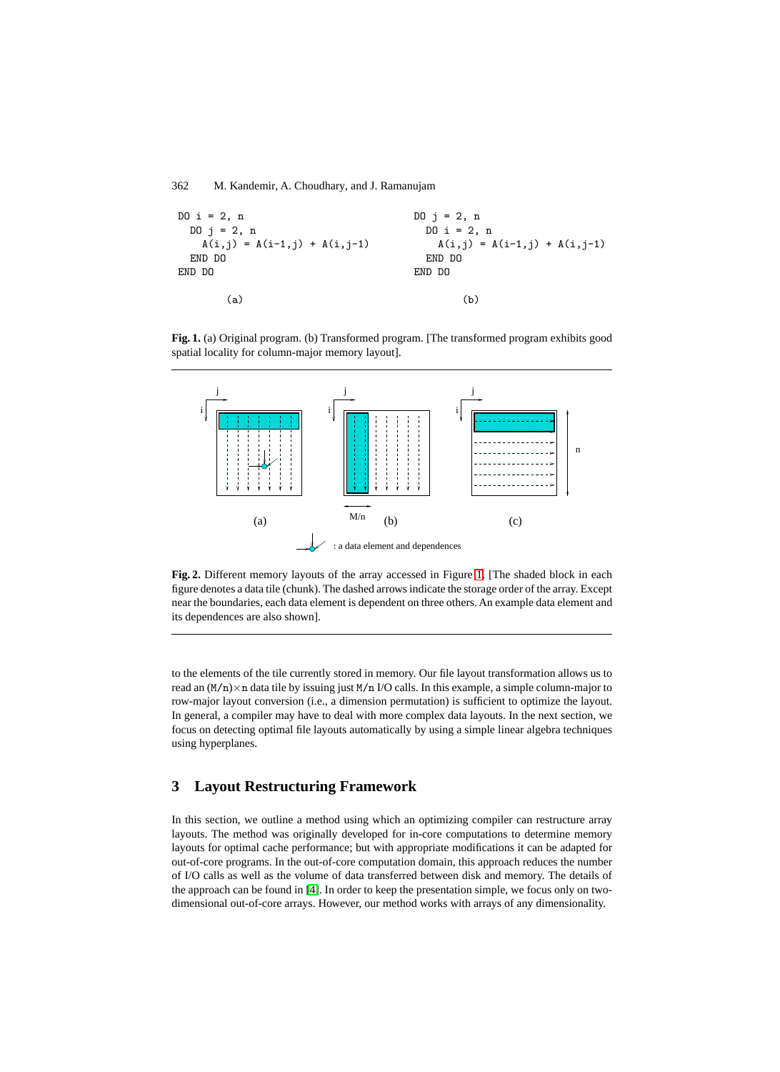<span id="page-3-0"></span>DO i = 2, n DO j = 2, n A(i,j) = A(i-1,j) + A(i,j-1) END DO END DO (a) DO j = 2, n DO i = 2, n A(i,j) = A(i-1,j) + A(i,j-1) END DO END DO (b)

**Fig. 1.** (a) Original program. (b) Transformed program. [The transformed program exhibits good spatial locality for column-major memory layout].



**Fig. 2.** Different memory layouts of the array accessed in Figure 1. [The shaded block in each figure denotes a data tile (chunk). The dashed arrows indicate the storage order of the array. Except near the boundaries, each data element is dependent on three others. An example data element and its dependences are also shown].

to the elements of the tile currently stored in memory. Our file layout transformation allows us to read an  $(M/n) \times n$  data tile by issuing just M/n I/O calls. In this example, a simple column-major to row-major layout conversion (i.e., a dimension permutation) is sufficient to optimize the layout. In general, a compiler may have to deal with more complex data layouts. In the next section, we focus on detecting optimal file layouts automatically by using a simple linear algebra techniques using hyperplanes.

### **3 Layout Restructuring Framework**

In this section, we outline a method using which an optimizing compiler can restructure array layouts. The method was originally developed for in-core computations to determine memory layouts for optimal cache performance; but with appropriate modifications it can be adapted for out-of-core programs. In the out-of-core computation domain, this approach reduces the number of I/O calls as well as the volume of data transferred between disk and memory. The details of the approach can be found in [\[4\]](#page-7-0). In order to keep the presentation simple, we focus only on twodimensional out-of-core arrays. However, our method works with arrays of any dimensionality.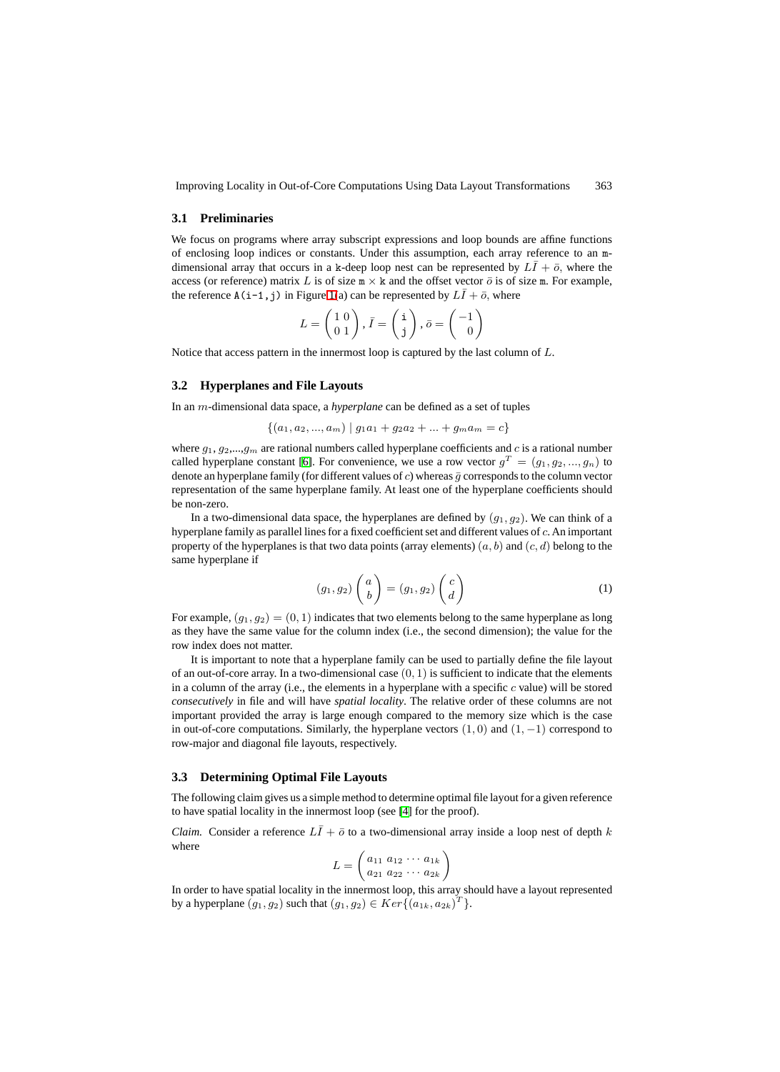#### **3.1 Preliminaries**

We focus on programs where array subscript expressions and loop bounds are affine functions of enclosing loop indices or constants. Under this assumption, each array reference to an mdimensional array that occurs in a k-deep loop nest can be represented by  $L\bar{I} + \bar{o}$ , where the access (or reference) matrix L is of size  $m \times k$  and the offset vector  $\bar{o}$  is of size m. For example, the reference  $A(i-1, j)$  in Figure [1\(](#page-3-0)a) can be represented by  $L\bar{I} + \bar{o}$ , where

$$
L = \begin{pmatrix} 1 & 0 \\ 0 & 1 \end{pmatrix}, \overline{I} = \begin{pmatrix} \mathbf{i} \\ \mathbf{j} \end{pmatrix}, \overline{o} = \begin{pmatrix} -1 \\ 0 \end{pmatrix}
$$

Notice that access pattern in the innermost loop is captured by the last column of L.

#### **3.2 Hyperplanes and File Layouts**

In an m-dimensional data space, a *hyperplane* can be defined as a set of tuples

$$
\{(a_1, a_2, ..., a_m) | g_1 a_1 + g_2 a_2 + ... + g_m a_m = c\}
$$

where  $q_1, q_2,...,q_m$  are rational numbers called hyperplane coefficients and c is a rational number called hyperplane constant [\[6\]](#page-7-0). For convenience, we use a row vector  $g^T = (g_1, g_2, ..., g_n)$  to denote an hyperplane family (for different values of c) whereas  $\bar{q}$  corresponds to the column vector representation of the same hyperplane family. At least one of the hyperplane coefficients should be non-zero.

In a two-dimensional data space, the hyperplanes are defined by  $(g_1, g_2)$ . We can think of a hyperplane family as parallel lines for a fixed coefficient set and different values of c. An important property of the hyperplanes is that two data points (array elements)  $(a, b)$  and  $(c, d)$  belong to the same hyperplane if

$$
(g_1, g_2) \begin{pmatrix} a \\ b \end{pmatrix} = (g_1, g_2) \begin{pmatrix} c \\ d \end{pmatrix}
$$
 (1)

For example,  $(q_1, q_2) = (0, 1)$  indicates that two elements belong to the same hyperplane as long as they have the same value for the column index (i.e., the second dimension); the value for the row index does not matter.

It is important to note that a hyperplane family can be used to partially define the file layout of an out-of-core array. In a two-dimensional case  $(0, 1)$  is sufficient to indicate that the elements in a column of the array (i.e., the elements in a hyperplane with a specific  $c$  value) will be stored *consecutively* in file and will have *spatial locality*. The relative order of these columns are not important provided the array is large enough compared to the memory size which is the case in out-of-core computations. Similarly, the hyperplane vectors (1, 0) and (1, −1) correspond to row-major and diagonal file layouts, respectively.

#### **3.3 Determining Optimal File Layouts**

The following claim gives us a simple method to determine optimal file layout for a given reference to have spatial locality in the innermost loop (see [\[4\]](#page-7-0) for the proof).

*Claim.* Consider a reference  $L\bar{I} + \bar{\sigma}$  to a two-dimensional array inside a loop nest of depth k where

$$
L = \begin{pmatrix} a_{11} & a_{12} & \cdots & a_{1k} \\ a_{21} & a_{22} & \cdots & a_{2k} \end{pmatrix}
$$

In order to have spatial locality in the innermost loop, this array should have a layout represented by a hyperplane  $(g_1, g_2)$  such that  $(g_1, g_2) \in Ker\{(a_{1k}, a_{2k})^T\}$ .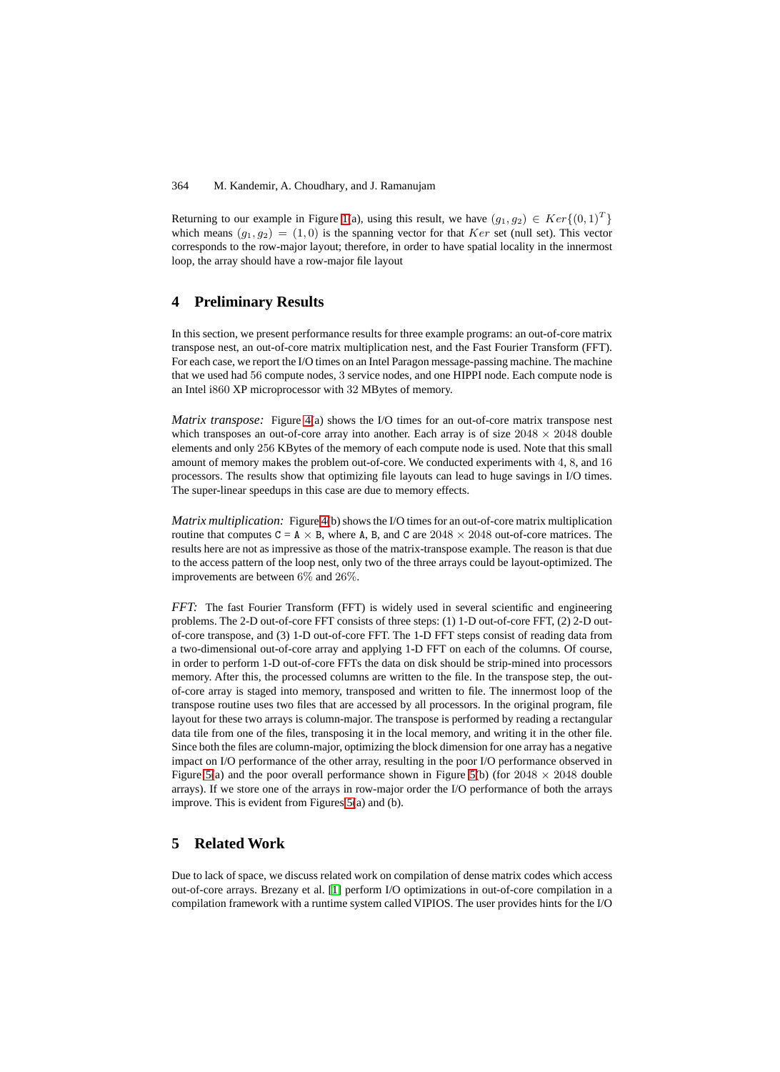<span id="page-5-0"></span>Returning to our example in Figure [1\(](#page-3-0)a), using this result, we have  $(q_1, q_2) \in Ker\{(0, 1)^T\}$ which means  $(q_1, q_2) = (1, 0)$  is the spanning vector for that Ker set (null set). This vector corresponds to the row-major layout; therefore, in order to have spatial locality in the innermost loop, the array should have a row-major file layout

## **4 Preliminary Results**

In this section, we present performance results for three example programs: an out-of-core matrix transpose nest, an out-of-core matrix multiplication nest, and the Fast Fourier Transform (FFT). For each case, we report the I/O times on an Intel Paragon message-passing machine. The machine that we used had 56 compute nodes, 3 service nodes, and one HIPPI node. Each compute node is an Intel i860 XP microprocessor with 32 MBytes of memory.

*Matrix transpose:* Figure [4\(](#page-6-0)a) shows the I/O times for an out-of-core matrix transpose nest which transposes an out-of-core array into another. Each array is of size  $2048 \times 2048$  double elements and only 256 KBytes of the memory of each compute node is used. Note that this small amount of memory makes the problem out-of-core. We conducted experiments with 4, 8, and 16 processors. The results show that optimizing file layouts can lead to huge savings in I/O times. The super-linear speedups in this case are due to memory effects.

*Matrix multiplication:* Figure [4\(](#page-6-0)b) shows the I/O times for an out-of-core matrix multiplication routine that computes  $C = A \times B$ , where A, B, and C are  $2048 \times 2048$  out-of-core matrices. The results here are not as impressive as those of the matrix-transpose example. The reason is that due to the access pattern of the loop nest, only two of the three arrays could be layout-optimized. The improvements are between 6% and 26%.

*FFT:* The fast Fourier Transform (FFT) is widely used in several scientific and engineering problems. The 2-D out-of-core FFT consists of three steps: (1) 1-D out-of-core FFT, (2) 2-D outof-core transpose, and (3) 1-D out-of-core FFT. The 1-D FFT steps consist of reading data from a two-dimensional out-of-core array and applying 1-D FFT on each of the columns. Of course, in order to perform 1-D out-of-core FFTs the data on disk should be strip-mined into processors memory. After this, the processed columns are written to the file. In the transpose step, the outof-core array is staged into memory, transposed and written to file. The innermost loop of the transpose routine uses two files that are accessed by all processors. In the original program, file layout for these two arrays is column-major. The transpose is performed by reading a rectangular data tile from one of the files, transposing it in the local memory, and writing it in the other file. Since both the files are column-major, optimizing the block dimension for one array has a negative impact on I/O performance of the other array, resulting in the poor I/O performance observed in Figure [5\(](#page-6-0)a) and the poor overall performance shown in Figure 5(b) (for  $2048 \times 2048$  double arrays). If we store one of the arrays in row-major order the I/O performance of both the arrays improve. This is evident from Figures [5\(](#page-6-0)a) and (b).

## **5 Related Work**

Due to lack of space, we discuss related work on compilation of dense matrix codes which access out-of-core arrays. Brezany et al. [\[1\]](#page-7-0) perform I/O optimizations in out-of-core compilation in a compilation framework with a runtime system called VIPIOS. The user provides hints for the I/O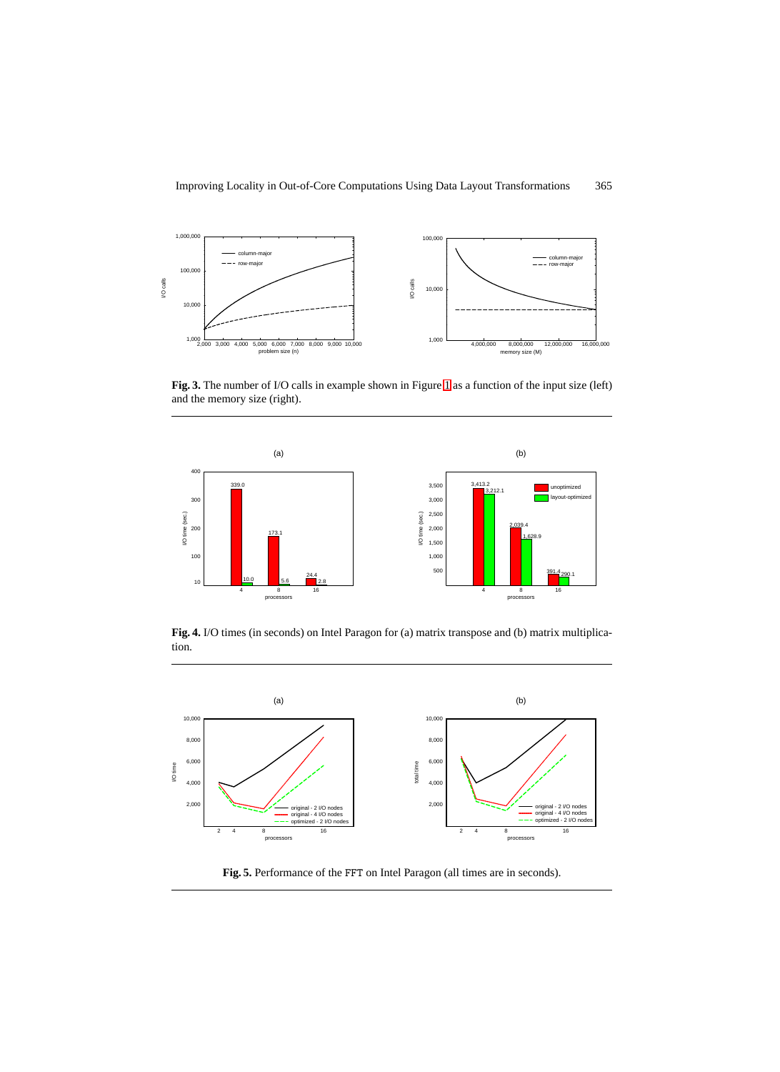<span id="page-6-0"></span>

**Fig. 3.** The number of I/O calls in example shown in Figure [1](#page-3-0) as a function of the input size (left) and the memory size (right).



**Fig. 4.** I/O times (in seconds) on Intel Paragon for (a) matrix transpose and (b) matrix multiplication.



**Fig. 5.** Performance of the FFT on Intel Paragon (all times are in seconds).